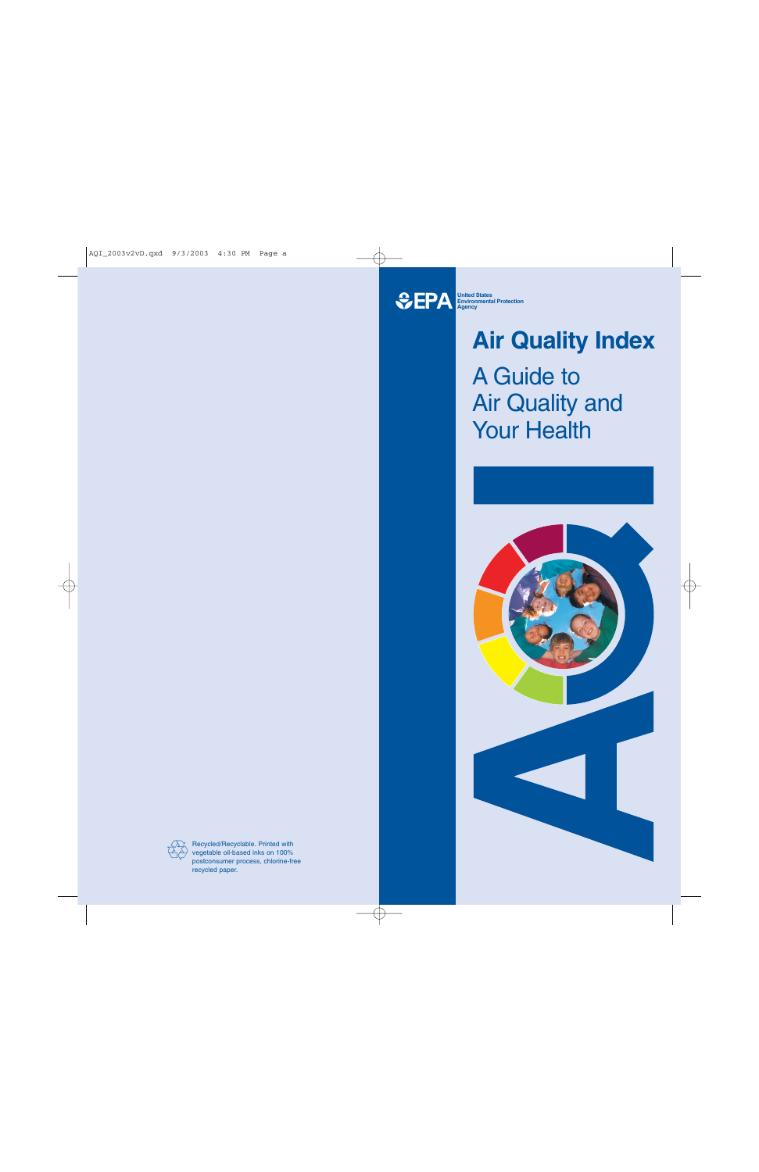**SEPA United States Environmental Protection Agency** 

# **Air Quality Index**

Air Quality and A Guide to **Your Health** 



23

**Exter Becycled/Recyclable. Printed with** <br>  $\begin{pmatrix} 2 & 0 \\ 0 & 0 \end{pmatrix}$  vegetable oil-based inks on 100% postconsumer process, chlorine-free recycled paper.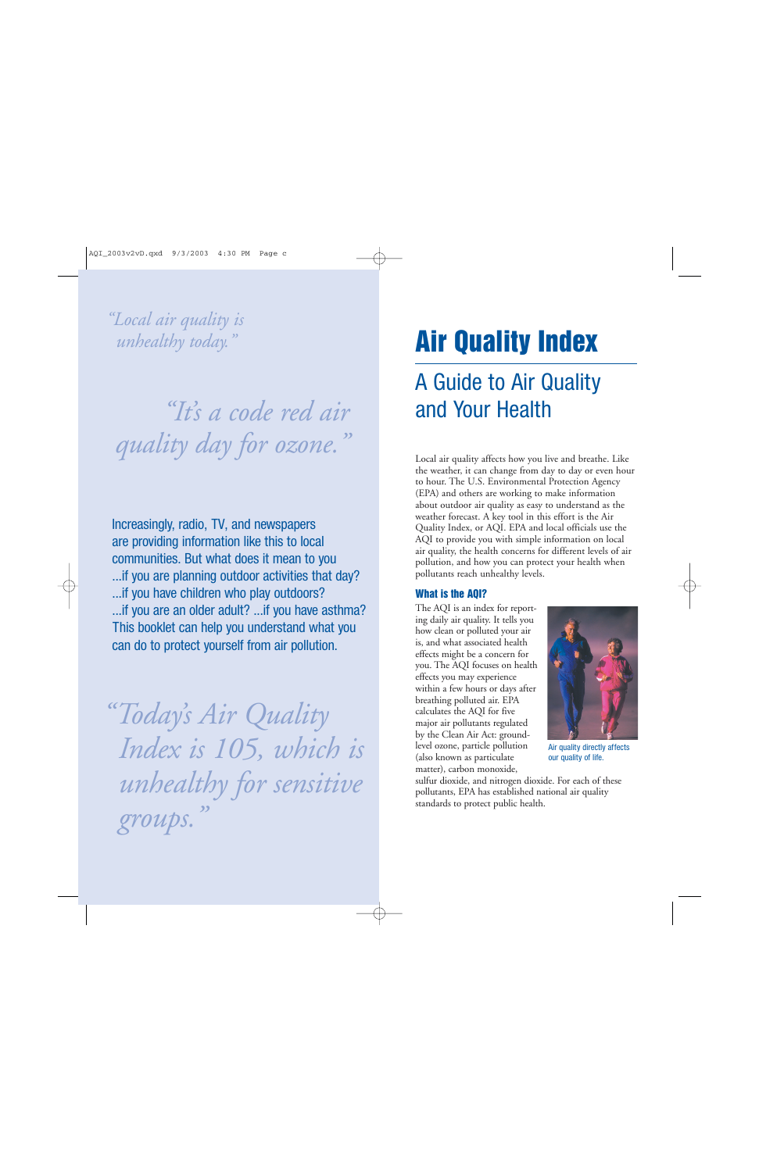*"Local air quality is unhealthy today."* 

# *"It's a code red air quality day for ozone."*

Increasingly, radio, TV, and newspapers are providing information like this to local communities. But what does it mean to you ...if you are planning outdoor activities that day? ...if you have children who play outdoors? ...if you are an older adult? ...if you have asthma? This booklet can help you understand what you can do to protect yourself from air pollution.

*"Today's Air Quality Index is 105, which is unhealthy for sensitive groups."* 

# Air Quality Index

# A Guide to Air Quality and Your Health

Local air quality affects how you live and breathe. Like the weather, it can change from day to day or even hour to hour. The U.S. Environmental Protection Agency (EPA) and others are working to make information about outdoor air quality as easy to understand as the weather forecast. A key tool in this effort is the Air Quality Index, or AQI. EPA and local officials use the AQI to provide you with simple information on local air quality, the health concerns for different levels of air pollution, and how you can protect your health when pollutants reach unhealthy levels.

# What is the AQI?

The AQI is an index for reporting daily air quality. It tells you how clean or polluted your air is, and what associated health effects might be a concern for you. The AQI focuses on health effects you may experience within a few hours or days after breathing polluted air. EPA calculates the AQI for five major air pollutants regulated by the Clean Air Act: groundlevel ozone, particle pollution Air quality directly affects (also known as particulate our quality of life. matter), carbon monoxide,



sulfur dioxide, and nitrogen dioxide. For each of these pollutants, EPA has established national air quality standards to protect public health.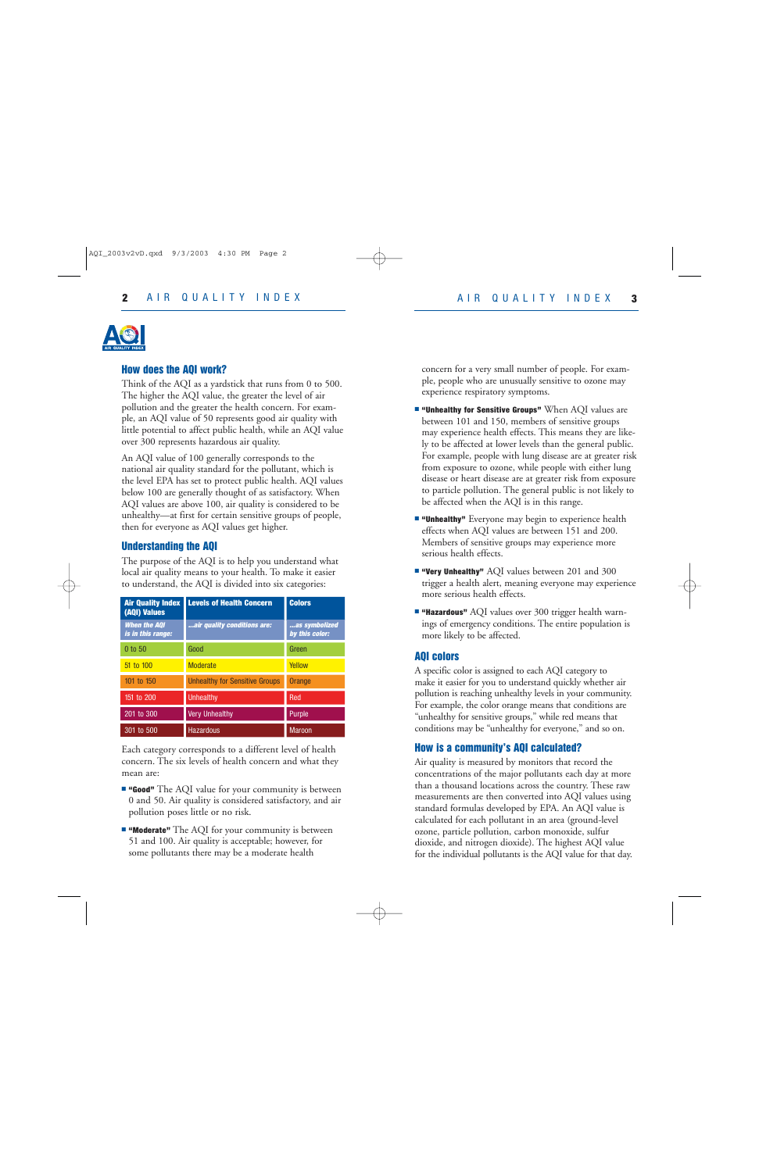

## How does the AQI work?

Think of the AQI as a yardstick that runs from 0 to 500. The higher the AQI value, the greater the level of air pollution and the greater the health concern. For example, an AQI value of 50 represents good air quality with little potential to affect public health, while an AQI value over 300 represents hazardous air quality.

An AQI value of 100 generally corresponds to the national air quality standard for the pollutant, which is the level EPA has set to protect public health. AQI values below 100 are generally thought of as satisfactory. When AQI values are above 100, air quality is considered to be unhealthy—at first for certain sensitive groups of people, then for everyone as AQI values get higher.

## Understanding the AQI

The purpose of the AQI is to help you understand what local air quality means to your health. To make it easier to understand, the AQI is divided into six categories:

| <b>Air Quality Index</b><br>(AQI) Values        | <b>Levels of Health Concern</b>       | <b>Colors</b>                   |
|-------------------------------------------------|---------------------------------------|---------------------------------|
| <b>When the AQI</b><br><i>is in this range:</i> | air quality conditions are:           | as symbolized<br>by this color: |
| 0 to 50                                         | Good                                  | Green                           |
| 51 to 100                                       | <b>Moderate</b>                       | Yellow                          |
| 101 to 150                                      | <b>Unhealthy for Sensitive Groups</b> | Orange                          |
| 151 to 200                                      | <b>Unhealthy</b>                      | Red                             |
| 201 to 300                                      | <b>Very Unhealthy</b>                 | Purple                          |
| 301 to 500                                      | Hazardous                             | <b>Maroon</b>                   |

Each category corresponds to a different level of health concern. The six levels of health concern and what they mean are:

- "Good" The AQI value for your community is between 0 and 50. Air quality is considered satisfactory, and air pollution poses little or no risk.
- "Moderate" The AQI for your community is between 51 and 100. Air quality is acceptable; however, for some pollutants there may be a moderate health

concern for a very small number of people. For example, people who are unusually sensitive to ozone may experience respiratory symptoms.

- "Unhealthy for Sensitive Groups" When AQI values are between 101 and 150, members of sensitive groups may experience health effects. This means they are likely to be affected at lower levels than the general public. For example, people with lung disease are at greater risk from exposure to ozone, while people with either lung disease or heart disease are at greater risk from exposure to particle pollution. The general public is not likely to be affected when the AQI is in this range.
- "Unhealthy" Everyone may begin to experience health effects when AQI values are between 151 and 200. Members of sensitive groups may experience more serious health effects.
- "Very Unhealthy" AQI values between 201 and 300 trigger a health alert, meaning everyone may experience more serious health effects.
- "Hazardous" AQI values over 300 trigger health warnings of emergency conditions. The entire population is more likely to be affected.

#### AQI colors

A specific color is assigned to each AQI category to make it easier for you to understand quickly whether air pollution is reaching unhealthy levels in your community. For example, the color orange means that conditions are "unhealthy for sensitive groups," while red means that conditions may be "unhealthy for everyone," and so on.

# How is a community's AQI calculated?

Air quality is measured by monitors that record the concentrations of the major pollutants each day at more than a thousand locations across the country. These raw measurements are then converted into AQI values using standard formulas developed by EPA. An AQI value is calculated for each pollutant in an area (ground-level ozone, particle pollution, carbon monoxide, sulfur dioxide, and nitrogen dioxide). The highest AQI value for the individual pollutants is the AQI value for that day.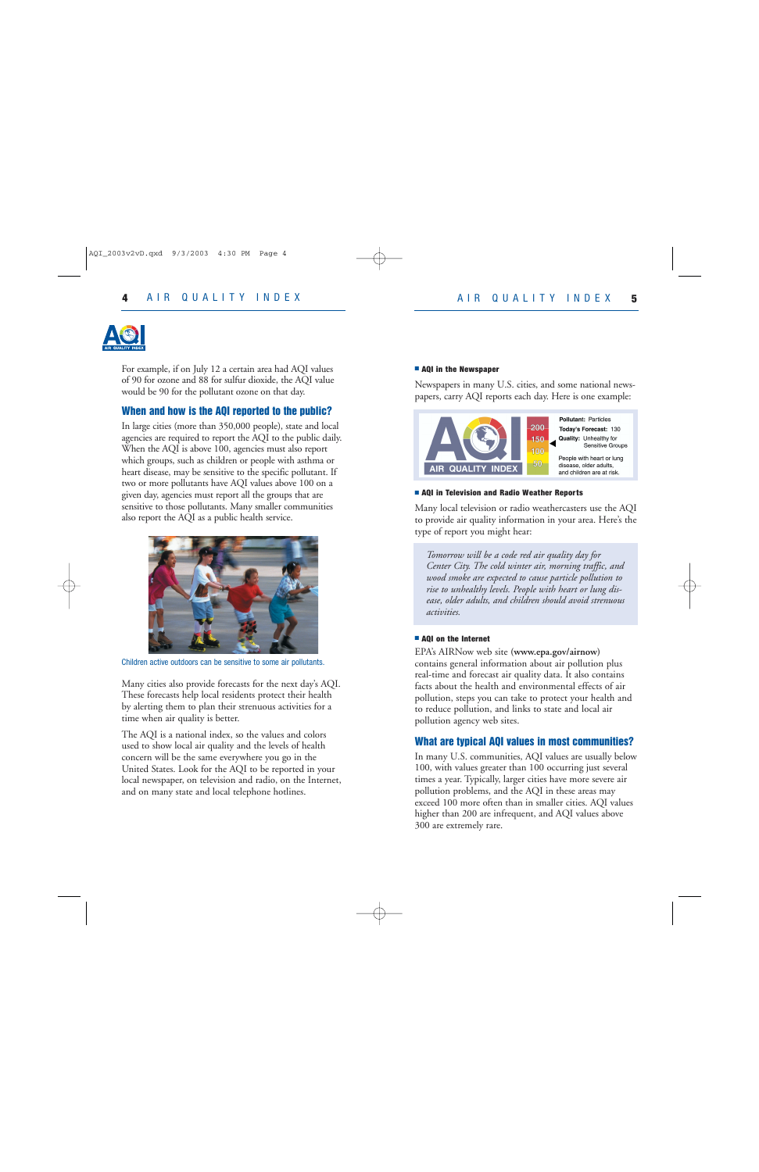

For example, if on July 12 a certain area had AQI values of 90 for ozone and 88 for sulfur dioxide, the AQI value would be 90 for the pollutant ozone on that day.

# When and how is the AQI reported to the public?

In large cities (more than 350,000 people), state and local agencies are required to report the AQI to the public daily. When the AQI is above 100, agencies must also report which groups, such as children or people with asthma or heart disease, may be sensitive to the specific pollutant. If two or more pollutants have AQI values above 100 on a given day, agencies must report all the groups that are sensitive to those pollutants. Many smaller communities also report the AQI as a public health service.



Children active outdoors can be sensitive to some air pollutants.

Many cities also provide forecasts for the next day's AQI. These forecasts help local residents protect their health by alerting them to plan their strenuous activities for a time when air quality is better.

The AQI is a national index, so the values and colors used to show local air quality and the levels of health concern will be the same everywhere you go in the United States. Look for the AQI to be reported in your local newspaper, on television and radio, on the Internet, and on many state and local telephone hotlines.

#### ■ AQI in the Newspaper

Newspapers in many U.S. cities, and some national newspapers, carry AQI reports each day. Here is one example:



#### ■ AQI in Television and Radio Weather Reports

Many local television or radio weathercasters use the AQI to provide air quality information in your area. Here's the type of report you might hear:

*Tomorrow will be a code red air quality day for Center City. The cold winter air, morning traffic, and wood smoke are expected to cause particle pollution to rise to unhealthy levels. People with heart or lung disease, older adults, and children should avoid strenuous activities.* 

#### ■ A01 on the Internet

EPA's AIRNow web site **(www.epa.gov/airnow)**  contains general information about air pollution plus real-time and forecast air quality data. It also contains facts about the health and environmental effects of air pollution, steps you can take to protect your health and to reduce pollution, and links to state and local air pollution agency web sites.

#### What are typical AQI values in most communities?

In many U.S. communities, AQI values are usually below 100, with values greater than 100 occurring just several times a year. Typically, larger cities have more severe air pollution problems, and the AQI in these areas may exceed 100 more often than in smaller cities. AQI values higher than 200 are infrequent, and AQI values above 300 are extremely rare.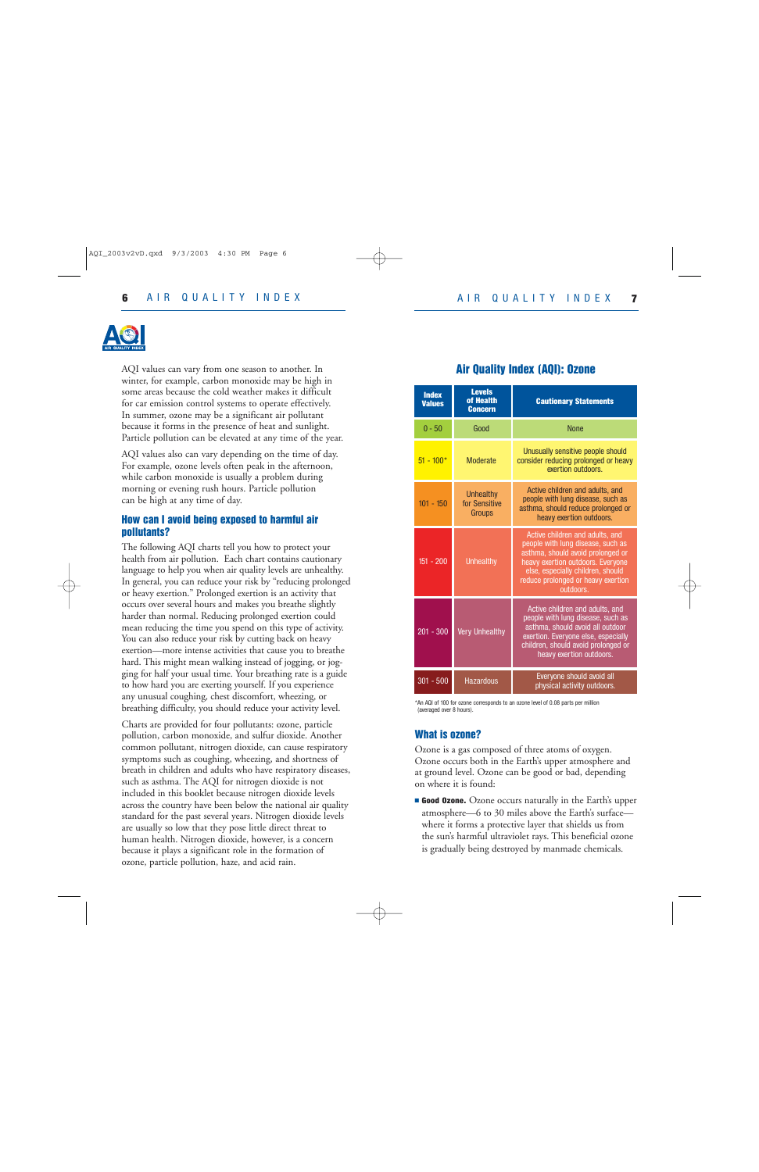

AQI values can vary from one season to another. In winter, for example, carbon monoxide may be high in some areas because the cold weather makes it difficult for car emission control systems to operate effectively. In summer, ozone may be a significant air pollutant because it forms in the presence of heat and sunlight. Particle pollution can be elevated at any time of the year.

AQI values also can vary depending on the time of day. For example, ozone levels often peak in the afternoon, while carbon monoxide is usually a problem during morning or evening rush hours. Particle pollution can be high at any time of day.

# How can I avoid being exposed to harmful air pollutants?

The following AQI charts tell you how to protect your health from air pollution. Each chart contains cautionary language to help you when air quality levels are unhealthy. In general, you can reduce your risk by "reducing prolonged or heavy exertion." Prolonged exertion is an activity that occurs over several hours and makes you breathe slightly harder than normal. Reducing prolonged exertion could mean reducing the time you spend on this type of activity. You can also reduce your risk by cutting back on heavy exertion—more intense activities that cause you to breathe hard. This might mean walking instead of jogging, or jogging for half your usual time. Your breathing rate is a guide to how hard you are exerting yourself. If you experience any unusual coughing, chest discomfort, wheezing, or breathing difficulty, you should reduce your activity level.

Charts are provided for four pollutants: ozone, particle pollution, carbon monoxide, and sulfur dioxide. Another common pollutant, nitrogen dioxide, can cause respiratory symptoms such as coughing, wheezing, and shortness of breath in children and adults who have respiratory diseases, such as asthma. The AQI for nitrogen dioxide is not included in this booklet because nitrogen dioxide levels across the country have been below the national air quality standard for the past several years. Nitrogen dioxide levels are usually so low that they pose little direct threat to human health. Nitrogen dioxide, however, is a concern because it plays a significant role in the formation of ozone, particle pollution, haze, and acid rain.

# Air Quality Index (AQI): Ozone

| <b>Index</b><br><b>Values</b> | <b>Levels</b><br>of Health<br><b>Concern</b>       | <b>Cautionary Statements</b>                                                                                                                                                                                                           |  |
|-------------------------------|----------------------------------------------------|----------------------------------------------------------------------------------------------------------------------------------------------------------------------------------------------------------------------------------------|--|
| $0 - 50$                      | Good                                               | <b>None</b>                                                                                                                                                                                                                            |  |
| $51 - 100*$                   | <b>Moderate</b>                                    | Unusually sensitive people should<br>consider reducing prolonged or heavy<br>exertion outdoors.                                                                                                                                        |  |
| $101 - 150$                   | <b>Unhealthy</b><br>for Sensitive<br><b>Groups</b> | Active children and adults, and<br>people with lung disease, such as<br>asthma, should reduce prolonged or<br>heavy exertion outdoors.                                                                                                 |  |
| $151 - 200$                   | <b>Unhealthy</b>                                   | Active children and adults, and<br>people with lung disease, such as<br>asthma, should avoid prolonged or<br>heavy exertion outdoors. Everyone<br>else, especially children, should<br>reduce prolonged or heavy exertion<br>outdoors. |  |
| $201 - 300$                   | <b>Very Unhealthy</b>                              | Active children and adults, and<br>people with lung disease, such as<br>asthma, should avoid all outdoor<br>exertion. Everyone else, especially<br>children, should avoid prolonged or<br>heavy exertion outdoors.                     |  |
| $301 - 500$                   | <b>Hazardous</b>                                   | Everyone should avoid all<br>physical activity outdoors.                                                                                                                                                                               |  |

\*An AQI of 100 for ozone corresponds to an ozone level of 0.08 parts per million (averaged over 8 hours).

# What is ozone?

Ozone is a gas composed of three atoms of oxygen. Ozone occurs both in the Earth's upper atmosphere and at ground level. Ozone can be good or bad, depending on where it is found:

■ Good Ozone. Ozone occurs naturally in the Earth's upper atmosphere—6 to 30 miles above the Earth's surface where it forms a protective layer that shields us from the sun's harmful ultraviolet rays. This beneficial ozone is gradually being destroyed by manmade chemicals.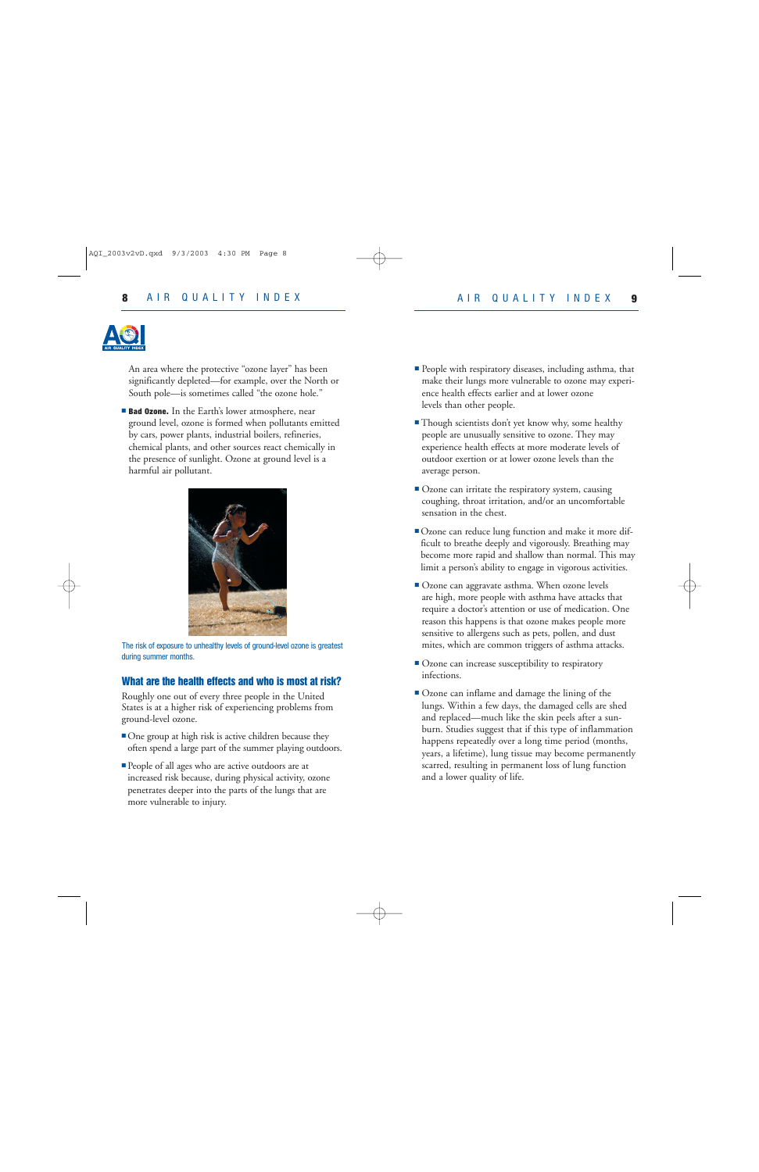

An area where the protective "ozone layer" has been significantly depleted—for example, over the North or South pole—is sometimes called "the ozone hole."

■ Bad Ozone. In the Earth's lower atmosphere, near ground level, ozone is formed when pollutants emitted by cars, power plants, industrial boilers, refineries, chemical plants, and other sources react chemically in the presence of sunlight. Ozone at ground level is a harmful air pollutant.



The risk of exposure to unhealthy levels of ground-level ozone is greatest during summer months.

# What are the health effects and who is most at risk?

Roughly one out of every three people in the United States is at a higher risk of experiencing problems from ground-level ozone.

- One group at high risk is active children because they often spend a large part of the summer playing outdoors.
- People of all ages who are active outdoors are at increased risk because, during physical activity, ozone penetrates deeper into the parts of the lungs that are more vulnerable to injury.
- People with respiratory diseases, including asthma, that make their lungs more vulnerable to ozone may experience health effects earlier and at lower ozone levels than other people.
- Though scientists don't yet know why, some healthy people are unusually sensitive to ozone. They may experience health effects at more moderate levels of outdoor exertion or at lower ozone levels than the average person.
- Ozone can irritate the respiratory system, causing coughing, throat irritation, and/or an uncomfortable sensation in the chest.
- Ozone can reduce lung function and make it more difficult to breathe deeply and vigorously. Breathing may become more rapid and shallow than normal. This may limit a person's ability to engage in vigorous activities.
- Ozone can aggravate asthma. When ozone levels are high, more people with asthma have attacks that require a doctor's attention or use of medication. One reason this happens is that ozone makes people more sensitive to allergens such as pets, pollen, and dust mites, which are common triggers of asthma attacks.
- Ozone can increase susceptibility to respiratory infections.
- Ozone can inflame and damage the lining of the lungs. Within a few days, the damaged cells are shed and replaced—much like the skin peels after a sunburn. Studies suggest that if this type of inflammation happens repeatedly over a long time period (months, years, a lifetime), lung tissue may become permanently scarred, resulting in permanent loss of lung function and a lower quality of life.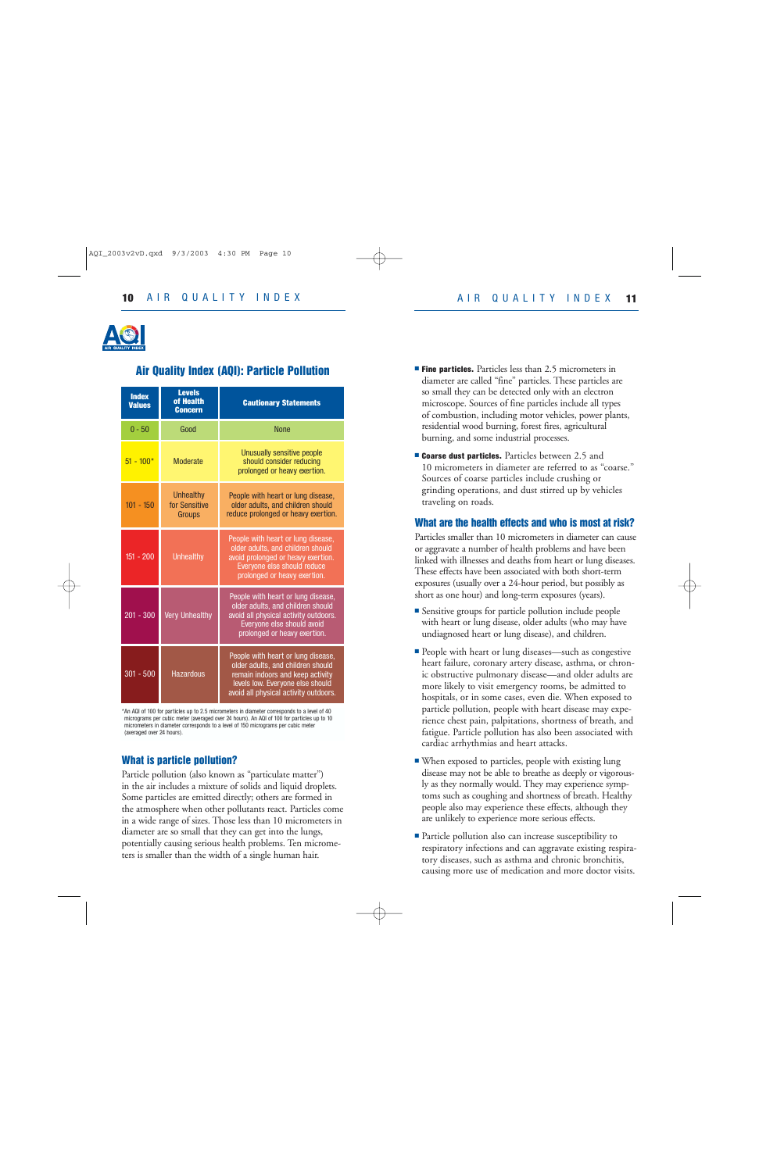

# Air Quality Index (AQI): Particle Pollution

| <b>Index</b><br><b>Values</b> | <b>Levels</b><br>of Health<br><b>Concern</b> | <b>Cautionary Statements</b>                                                                                                                                                             |  |
|-------------------------------|----------------------------------------------|------------------------------------------------------------------------------------------------------------------------------------------------------------------------------------------|--|
| $0 - 50$                      | Good                                         | <b>None</b>                                                                                                                                                                              |  |
| $51 - 100*$                   | <b>Moderate</b>                              | Unusually sensitive people<br>should consider reducing<br>prolonged or heavy exertion.                                                                                                   |  |
| $101 - 150$                   | <b>Unhealthy</b><br>for Sensitive<br>Groups  | People with heart or lung disease,<br>older adults, and children should<br>reduce prolonged or heavy exertion.                                                                           |  |
| $151 - 200$                   | <b>Unhealthy</b>                             | People with heart or lung disease,<br>older adults, and children should<br>avoid prolonged or heavy exertion.<br>Everyone else should reduce<br>prolonged or heavy exertion.             |  |
| $201 - 300$                   | <b>Very Unhealthy</b>                        | People with heart or lung disease,<br>older adults, and children should<br>avoid all physical activity outdoors.<br>Everyone else should avoid<br>prolonged or heavy exertion.           |  |
| $301 - 500$                   | <b>Hazardous</b>                             | People with heart or lung disease,<br>older adults, and children should<br>remain indoors and keep activity<br>levels low. Everyone else should<br>avoid all physical activity outdoors. |  |

\*An AQI of 100 for particles up to 2.5 micrometers in diameter corresponds to a level of 40 micrograms per cubic meter (averaged over 24 hours). An AQI of 100 for particles up to 10 micrometers in diameter corresponds to a level of 150 micrograms per cubic meter (averaged over 24 hours).

# What is particle pollution?

Particle pollution (also known as "particulate matter") in the air includes a mixture of solids and liquid droplets. Some particles are emitted directly; others are formed in the atmosphere when other pollutants react. Particles come in a wide range of sizes. Those less than 10 micrometers in diameter are so small that they can get into the lungs, potentially causing serious health problems. Ten micrometers is smaller than the width of a single human hair.

- Fine particles. Particles less than 2.5 micrometers in diameter are called "fine" particles. These particles are so small they can be detected only with an electron microscope. Sources of fine particles include all types of combustion, including motor vehicles, power plants, residential wood burning, forest fires, agricultural burning, and some industrial processes.
- Coarse dust particles. Particles between 2.5 and 10 micrometers in diameter are referred to as "coarse." Sources of coarse particles include crushing or grinding operations, and dust stirred up by vehicles traveling on roads.

## What are the health effects and who is most at risk?

Particles smaller than 10 micrometers in diameter can cause or aggravate a number of health problems and have been linked with illnesses and deaths from heart or lung diseases. These effects have been associated with both short-term exposures (usually over a 24-hour period, but possibly as short as one hour) and long-term exposures (years).

- Sensitive groups for particle pollution include people with heart or lung disease, older adults (who may have undiagnosed heart or lung disease), and children.
- People with heart or lung diseases—such as congestive heart failure, coronary artery disease, asthma, or chronic obstructive pulmonary disease—and older adults are more likely to visit emergency rooms, be admitted to hospitals, or in some cases, even die. When exposed to particle pollution, people with heart disease may experience chest pain, palpitations, shortness of breath, and fatigue. Particle pollution has also been associated with cardiac arrhythmias and heart attacks.
- When exposed to particles, people with existing lung disease may not be able to breathe as deeply or vigorously as they normally would. They may experience symptoms such as coughing and shortness of breath. Healthy people also may experience these effects, although they are unlikely to experience more serious effects.
- Particle pollution also can increase susceptibility to respiratory infections and can aggravate existing respiratory diseases, such as asthma and chronic bronchitis, causing more use of medication and more doctor visits.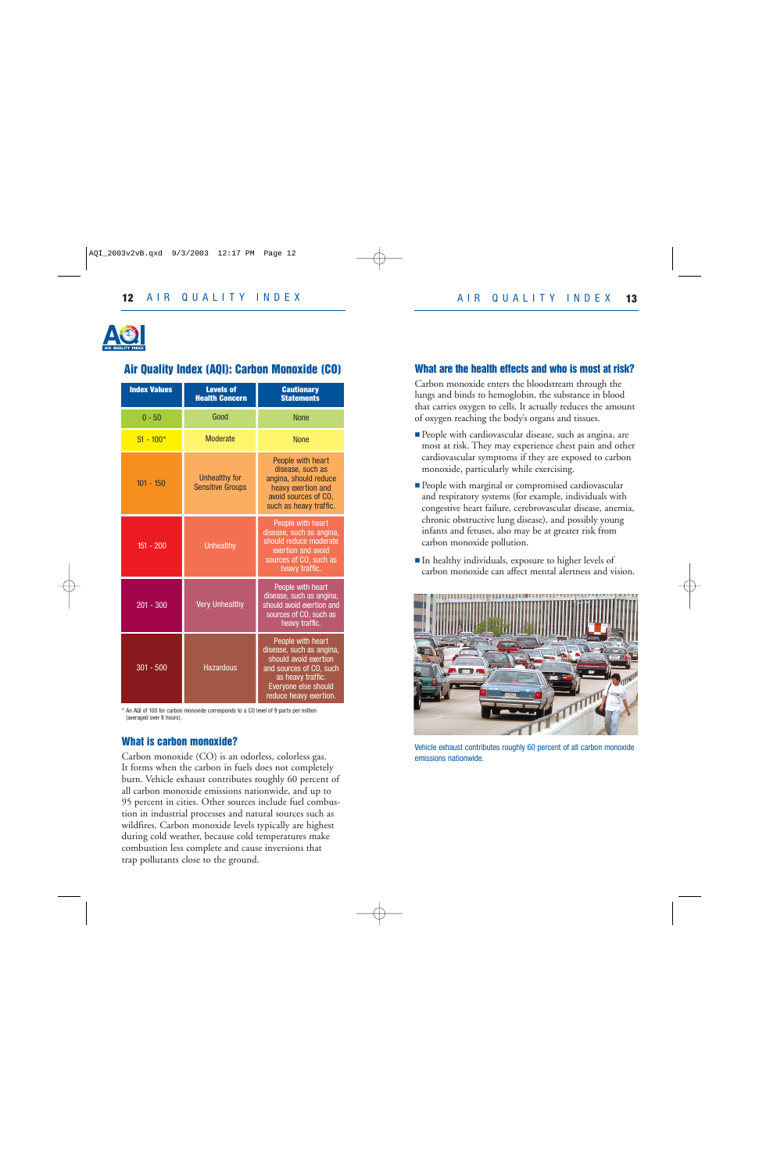

# Air Quality Index (AQI): Carbon Monoxide (CO)

| <b>Index Values</b> | <b>Levels of</b><br><b>Health Concern</b> | <b>Cautionary</b><br><b>Statements</b>                                                                                                                                   |
|---------------------|-------------------------------------------|--------------------------------------------------------------------------------------------------------------------------------------------------------------------------|
| $0 - 50$            | Good                                      | <b>None</b>                                                                                                                                                              |
| $51 - 100*$         | <b>Moderate</b>                           | <b>None</b>                                                                                                                                                              |
| $101 - 150$         | Unhealthy for<br><b>Sensitive Groups</b>  | People with heart<br>disease, such as<br>angina, should reduce<br>heavy exertion and<br>avoid sources of CO.<br>such as heavy traffic.                                   |
| $151 - 200$         | <b>Unhealthy</b>                          | People with heart<br>disease, such as angina,<br>should reduce moderate<br>exertion and avoid<br>sources of CO, such as<br>heavy traffic.                                |
| $201 - 300$         | <b>Very Unhealthy</b>                     | People with heart<br>disease, such as angina,<br>should avoid exertion and<br>sources of CO, such as<br>heavy traffic.                                                   |
| $301 - 500$         | <b>Hazardous</b>                          | People with heart<br>disease, such as angina,<br>should avoid exertion<br>and sources of CO, such<br>as heavy traffic.<br>Everyone else should<br>reduce heavy exertion. |

\* An AQI of 100 for carbon monoxide corresponds to a CO level of 9 parts per million (averaged over 8 hours).

# What is carbon monoxide?

Carbon monoxide (CO) is an odorless, colorless gas. It forms when the carbon in fuels does not completely burn. Vehicle exhaust contributes roughly 60 percent of all carbon monoxide emissions nationwide, and up to 95 percent in cities. Other sources include fuel combustion in industrial processes and natural sources such as wildfires. Carbon monoxide levels typically are highest during cold weather, because cold temperatures make combustion less complete and cause inversions that trap pollutants close to the ground.

# What are the health effects and who is most at risk?

Carbon monoxide enters the bloodstream through the lungs and binds to hemoglobin, the substance in blood that carries oxygen to cells. It actually reduces the amount of oxygen reaching the body's organs and tissues.

- People with cardiovascular disease, such as angina, are most at risk. They may experience chest pain and other cardiovascular symptoms if they are exposed to carbon monoxide, particularly while exercising.
- People with marginal or compromised cardiovascular and respiratory systems (for example, individuals with congestive heart failure, cerebrovascular disease, anemia, chronic obstructive lung disease), and possibly young infants and fetuses, also may be at greater risk from carbon monoxide pollution.
- In healthy individuals, exposure to higher levels of carbon monoxide can affect mental alertness and vision.



Vehicle exhaust contributes roughly 60 percent of all carbon monoxide emissions nationwide.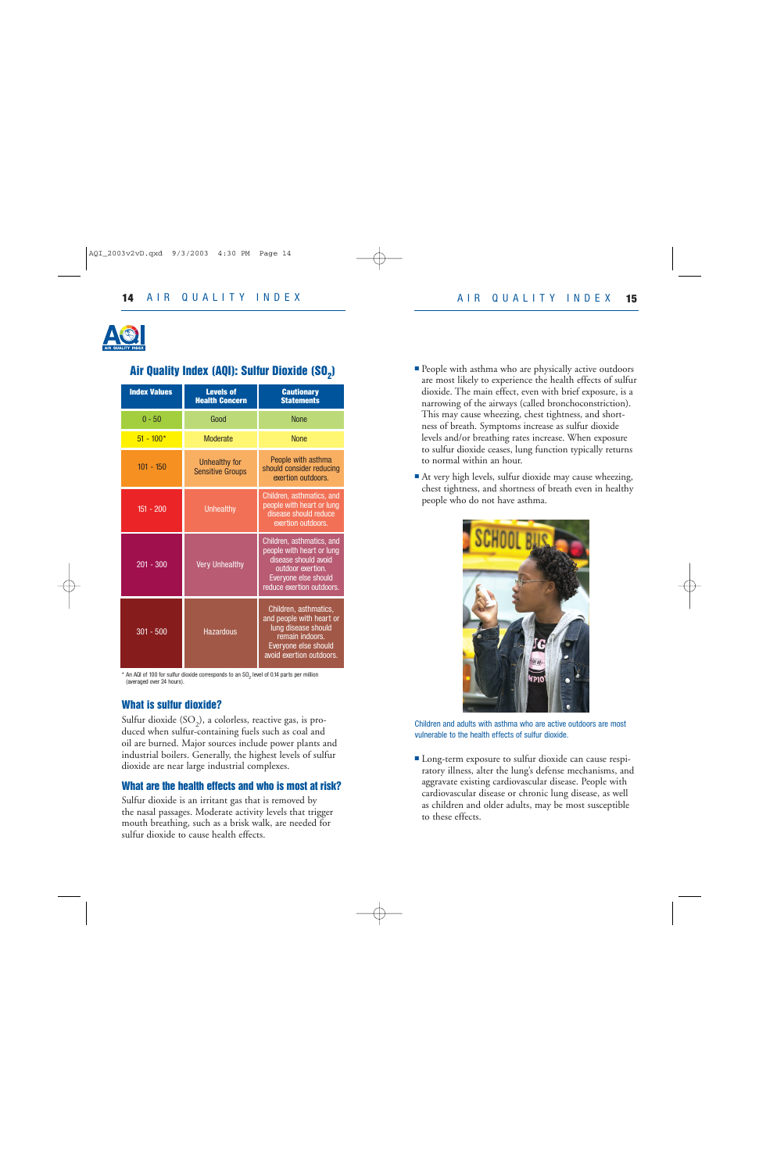

# Air Quality Index (AQI): Sulfur Dioxide (SO<sub>2</sub>)

| <b>Index Values</b> | <b>Levels of</b><br><b>Health Concern</b> | <b>Cautionary</b><br><b>Statements</b>                                                                                                                   |
|---------------------|-------------------------------------------|----------------------------------------------------------------------------------------------------------------------------------------------------------|
| $0 - 50$            | Good                                      | <b>None</b>                                                                                                                                              |
| $51 - 100*$         | <b>Moderate</b>                           | <b>None</b>                                                                                                                                              |
| $101 - 150$         | Unhealthy for<br><b>Sensitive Groups</b>  | People with asthma<br>should consider reducing<br>exertion outdoors.                                                                                     |
| $151 - 200$         | <b>Unhealthy</b>                          | Children, asthmatics, and<br>people with heart or lung<br>disease should reduce<br>exertion outdoors.                                                    |
| $201 - 300$         | <b>Very Unhealthy</b>                     | Children, asthmatics, and<br>people with heart or lung<br>disease should avoid<br>outdoor exertion.<br>Everyone else should<br>reduce exertion outdoors. |
| $301 - 500$         | <b>Hazardous</b>                          | Children, asthmatics,<br>and people with heart or<br>lung disease should<br>remain indoors.<br>Everyone else should<br>avoid exertion outdoors.          |

 $*$  An AQI of 100 for sulfur dioxide corresponds to an SO<sub>2</sub> level of 0.14 parts per million (averaged over 24 hours).

# What is sulfur dioxide?

Sulfur dioxide  $(SO<sub>2</sub>)$ , a colorless, reactive gas, is produced when sulfur-containing fuels such as coal and oil are burned. Major sources include power plants and industrial boilers. Generally, the highest levels of sulfur dioxide are near large industrial complexes.

# What are the health effects and who is most at risk?

Sulfur dioxide is an irritant gas that is removed by the nasal passages. Moderate activity levels that trigger mouth breathing, such as a brisk walk, are needed for sulfur dioxide to cause health effects.

- People with asthma who are physically active outdoors are most likely to experience the health effects of sulfur dioxide. The main effect, even with brief exposure, is a narrowing of the airways (called bronchoconstriction). This may cause wheezing, chest tightness, and shortness of breath. Symptoms increase as sulfur dioxide levels and/or breathing rates increase. When exposure to sulfur dioxide ceases, lung function typically returns to normal within an hour.
- At very high levels, sulfur dioxide may cause wheezing, chest tightness, and shortness of breath even in healthy people who do not have asthma.



Children and adults with asthma who are active outdoors are most vulnerable to the health effects of sulfur dioxide.

■ Long-term exposure to sulfur dioxide can cause respiratory illness, alter the lung's defense mechanisms, and aggravate existing cardiovascular disease. People with cardiovascular disease or chronic lung disease, as well as children and older adults, may be most susceptible to these effects.